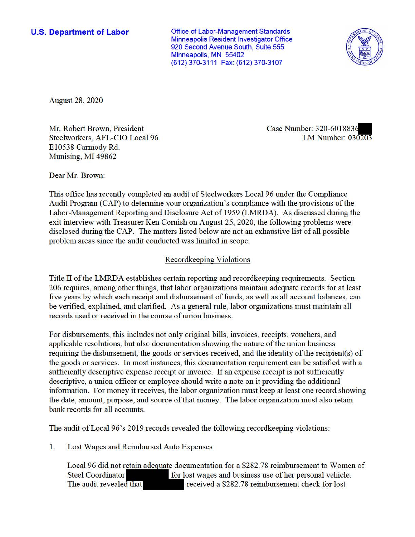**U.S. Department of Labor Conservative Conservative Conservative Conservative Conservative Conservative Conservative Conservative Conservative Conservative Conservative Conservative Conservative Conservative Conservative** Minneapolis Resident Investigator Office 920 Second Avenue South, Suite 555 Minneapolis, MN 55402 (612) 370-3111 Fax: (612) 370-3107



August 28, 2020

Mr. Robert Brown, President Case Number: 320-6018836 Steelworkers, AFL-CIO Local 96 LM Number: 030203 £10538 Cannedy Rd. Munising, MI 49862

Dear Mr. Brown:

This office has recently completed an audit of Steelworkers Local 96 under the Compliance Audit Program (CAP) to determine your organization's compliance with the provisions of the Labor-Management Reporting and Disclosure Act of 1959 (LMRDA). As discussed during the exit interview with Treasurer Ken Cornish on August 25, 2020, the following problems were disclosed during the CAP. The matters listed below are not an exhaustive list of all possible problem areas since the audit conducted was limited in scope.

## Recordkeeping Violations

Title II of the LMRDA establishes certain reporting and recordkeeping requirements. Section 206 requires, among other things, that labor organizations maintain adequate records for at least five years by which each receipt and disbursement of funds, as well as all account balances, can be verified, explained, and clarified. As a general rule, labor organizations must maintain all records used or received in the course of union business.

For disbursements, this includes not only original bills, invoices, receipts, vouchers, and applicable resolutions, but also documentation showing the nature of the union business requiring the disbursement, the goods or services received, and the identity of the recipient(s) of the goods or services. In most instances, this documentation requirement can be satisfied with a sufficiently descriptive expense receipt or invoice. If an expense receipt is not sufficiently descriptive, a union officer or employee should write a note on it providing the additional information. For money it receives, the labor organization must keep at least one record showing the date, amount, purpose, and source of that money. The labor organization must also retain bank records for all accounts.

The audit of Local 96's 2019 records revealed the following recordkeeping violations:

1. Lost Wages and Reimbursed Auto Expenses

Local 96 did not retain adequate documentation for a \$282.78 reimbursement to Women of Steel Coordinator for lost wages and business use of her personal vehicle. The audit revealed that received a \$282.78 reimbursement check for lost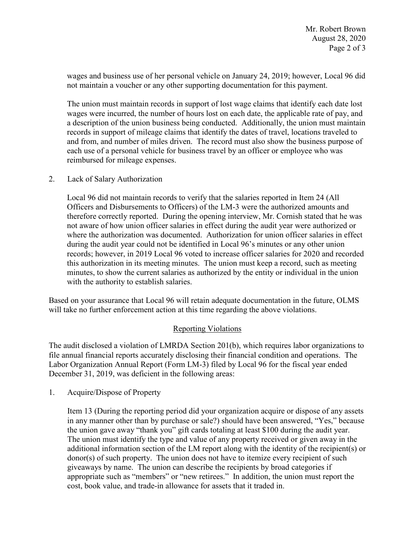wages and business use of her personal vehicle on January 24, 2019; however, Local 96 did not maintain a voucher or any other supporting documentation for this payment.

The union must maintain records in support of lost wage claims that identify each date lost wages were incurred, the number of hours lost on each date, the applicable rate of pay, and a description of the union business being conducted. Additionally, the union must maintain records in support of mileage claims that identify the dates of travel, locations traveled to and from, and number of miles driven. The record must also show the business purpose of each use of a personal vehicle for business travel by an officer or employee who was reimbursed for mileage expenses.

## 2. Lack of Salary Authorization

 Local 96 did not maintain records to verify that the salaries reported in Item 24 (All not aware of how union officer salaries in effect during the audit year were authorized or during the audit year could not be identified in Local 96's minutes or any other union Officers and Disbursements to Officers) of the LM-3 were the authorized amounts and therefore correctly reported. During the opening interview, Mr. Cornish stated that he was where the authorization was documented. Authorization for union officer salaries in effect records; however, in 2019 Local 96 voted to increase officer salaries for 2020 and recorded this authorization in its meeting minutes. The union must keep a record, such as meeting minutes, to show the current salaries as authorized by the entity or individual in the union with the authority to establish salaries.

Based on your assurance that Local 96 will retain adequate documentation in the future, OLMS will take no further enforcement action at this time regarding the above violations.

## Reporting Violations

 Labor Organization Annual Report (Form LM-3) filed by Local 96 for the fiscal year ended The audit disclosed a violation of LMRDA Section 201(b), which requires labor organizations to file annual financial reports accurately disclosing their financial condition and operations. The December 31, 2019, was deficient in the following areas:

1. Acquire/Dispose of Property

 additional information section of the LM report along with the identity of the recipient(s) or giveaways by name. The union can describe the recipients by broad categories if appropriate such as "members" or "new retirees." In addition, the union must report the Item 13 (During the reporting period did your organization acquire or dispose of any assets in any manner other than by purchase or sale?) should have been answered, "Yes," because the union gave away "thank you" gift cards totaling at least \$100 during the audit year. The union must identify the type and value of any property received or given away in the donor(s) of such property. The union does not have to itemize every recipient of such cost, book value, and trade-in allowance for assets that it traded in.